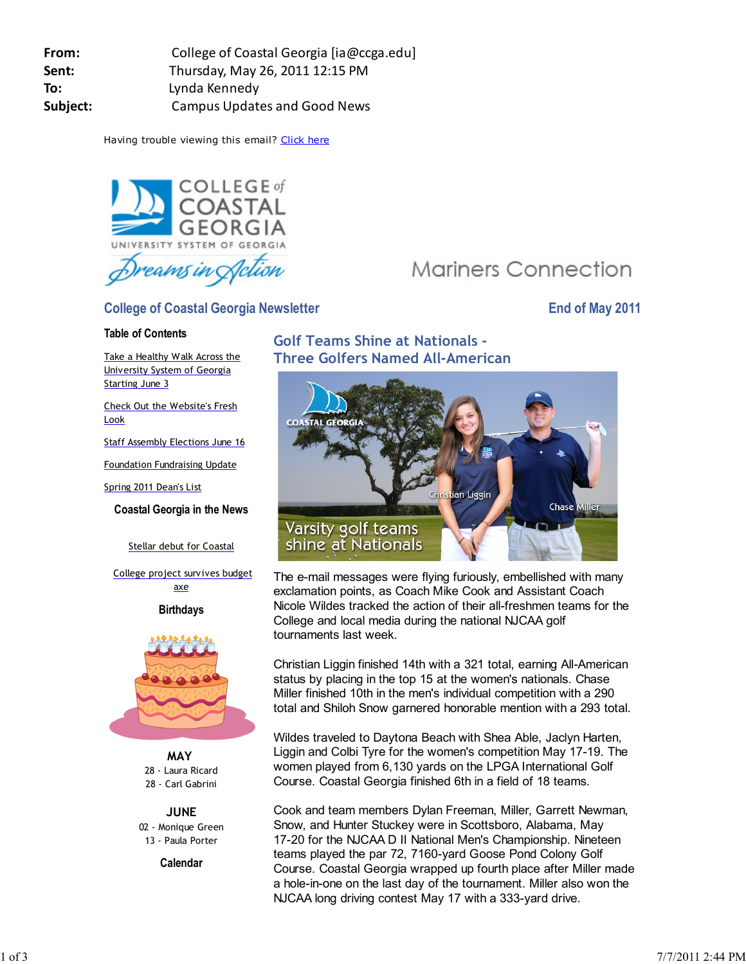**From:** College of Coastal Georgia [ia@ccga.edu] **Sent:** Thursday, May 26, 2011 12:15 PM **To:** Lynda Kennedy **Subject:** Campus Updates and Good News

Having trouble viewing this email? Click here



## **College of Coastal Georgia Newsletter Construction College of May 2011**

### **Table of Contents**

Take a Healthy Walk Across the University System of Georgia Starting June 3

Check Out the Website's Fresh Look

Staff Assembly Elections June 16

Foundation Fundraising Update

Spring 2011 Dean's List

**Coastal Georgia in the News**

Stellar debut for Coastal

 College project survives budget axe

**Birthdays**



**MAY** 28 - Laura Ricard 28 - Carl Gabrini

**JUNE** 02 - Monique Green 13 - Paula Porter

**Calendar**

# **Golf Teams Shine at Nationals - Three Golfers Named All-American**



**Mariners Connection** 

The e-mail messages were flying furiously, embellished with many exclamation points, as Coach Mike Cook and Assistant Coach Nicole Wildes tracked the action of their all-freshmen teams for the College and local media during the national NJCAA golf tournaments last week.

Christian Liggin finished 14th with a 321 total, earning All-American status by placing in the top 15 at the women's nationals. Chase Miller finished 10th in the men's individual competition with a 290 total and Shiloh Snow garnered honorable mention with a 293 total.

Wildes traveled to Daytona Beach with Shea Able, Jaclyn Harten, Liggin and Colbi Tyre for the women's competition May 17-19. The women played from 6,130 yards on the LPGA International Golf Course. Coastal Georgia finished 6th in a field of 18 teams.

Cook and team members Dylan Freeman, Miller, Garrett Newman, Snow, and Hunter Stuckey were in Scottsboro, Alabama, May 17-20 for the NJCAA D II National Men's Championship. Nineteen teams played the par 72, 7160-yard Goose Pond Colony Golf Course. Coastal Georgia wrapped up fourth place after Miller made a hole-in-one on the last day of the tournament. Miller also won the NJCAA long driving contest May 17 with a 333-yard drive.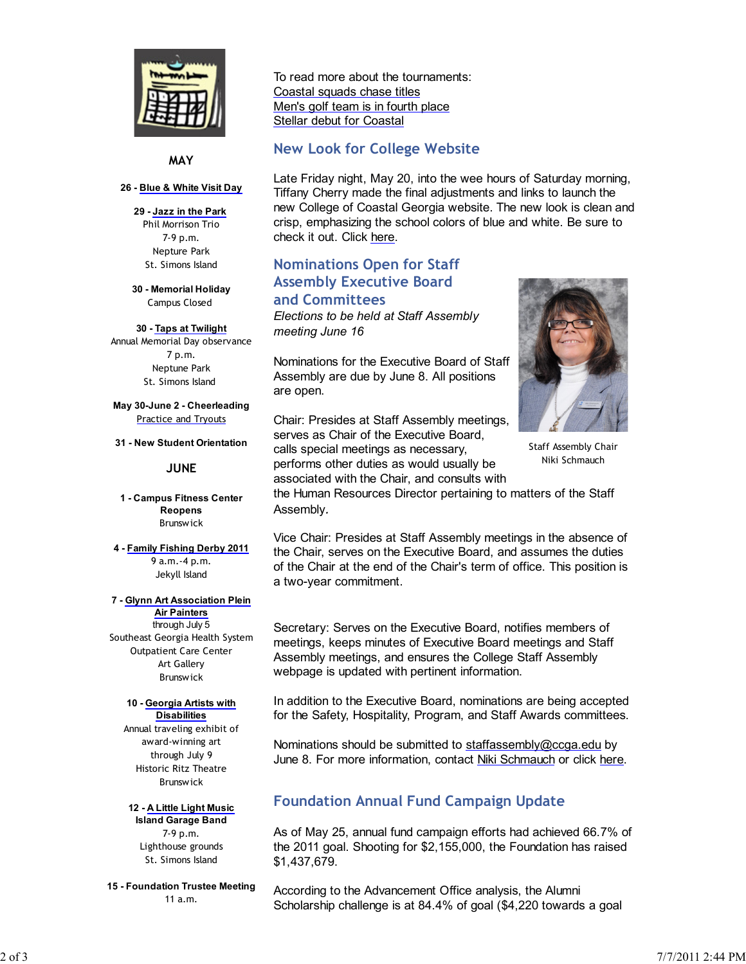

**MAY**

#### **26 - Blue & White Visit Day**

**29 - Jazz in the Park** Phil Morrison Trio 7-9 p.m. Nepture Park St. Simons Island

**30 - Memorial Holiday** Campus Closed

#### **30 - Taps at Twilight**

Annual Memorial Day observance 7 p.m. Neptune Park St. Simons Island

**May 30-June 2 - Cheerleading** Practice and Tryouts

**31 - New Student Orientation**

### **JUNE**

**1 - Campus Fitness Center Reopens** Brunswick

**4 - Family Fishing Derby 2011** 9 a.m.-4 p.m. Jekyll Island

#### **7 - Glynn Art Association Plein**

**Air Painters** through July 5 Southeast Georgia Health System Outpatient Care Center Art Gallery **Brunswick** 

#### **10 - Georgia Artists with Disabilities**

Annual traveling exhibit of award-winning art through July 9 Historic Ritz Theatre Brunswick

**12 - A Little Light Music Island Garage Band** 7-9 p.m. Lighthouse grounds St. Simons Island

**15 - Foundation Trustee Meeting** 11 a.m.

To read more about the tournaments: Coastal squads chase titles Men's golf team is in fourth place Stellar debut for Coastal

## **New Look for College Website**

Late Friday night, May 20, into the wee hours of Saturday morning, Tiffany Cherry made the final adjustments and links to launch the new College of Coastal Georgia website. The new look is clean and crisp, emphasizing the school colors of blue and white. Be sure to check it out. Click here.

# **Nominations Open for Staff Assembly Executive Board and Committees**

*Elections to be held at Staff Assembly meeting June 16*

Nominations for the Executive Board of Staff Assembly are due by June 8. All positions are open.

Chair: Presides at Staff Assembly meetings, serves as Chair of the Executive Board, calls special meetings as necessary, performs other duties as would usually be associated with the Chair, and consults with



Staff Assembly Chair Niki Schmauch

the Human Resources Director pertaining to matters of the Staff Assembly*.*

Vice Chair: Presides at Staff Assembly meetings in the absence of the Chair, serves on the Executive Board, and assumes the duties of the Chair at the end of the Chair's term of office. This position is a two-year commitment.

Secretary: Serves on the Executive Board, notifies members of meetings, keeps minutes of Executive Board meetings and Staff Assembly meetings, and ensures the College Staff Assembly webpage is updated with pertinent information.

In addition to the Executive Board, nominations are being accepted for the Safety, Hospitality, Program, and Staff Awards committees.

Nominations should be submitted to staffassembly@ccga.edu by June 8. For more information, contact Niki Schmauch or click here.

# **Foundation Annual Fund Campaign Update**

As of May 25, annual fund campaign efforts had achieved 66.7% of the 2011 goal. Shooting for \$2,155,000, the Foundation has raised \$1,437,679.

According to the Advancement Office analysis, the Alumni Scholarship challenge is at 84.4% of goal (\$4,220 towards a goal